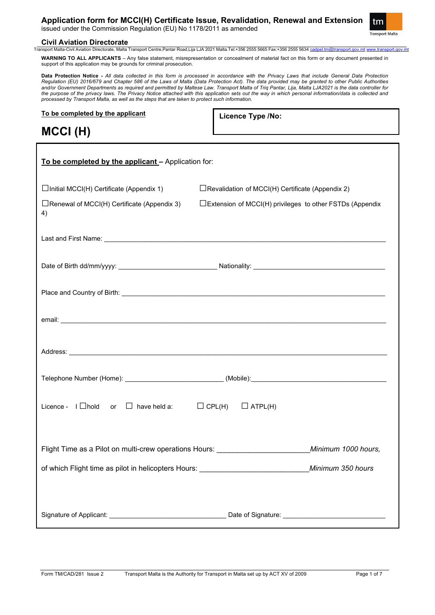# **Application form for MCCI(H) Certificate Issue, Revalidation, Renewal and Extension**

issued under the Commission Regulation (EU) No 1178/2011 as amended



# **Civil Aviation Directorate**<br> **Transport Malta-Civil Aviation Directorate. Malta**

Transport Centre,Pantar Road,Lija LJA 2021 Malta.Tel:+356 2555 5665 Fax:+356 2555 5634 <u>[cadpel.tm@transport.gov.mt](mailto:cadpel.tm@transport.gov.mt) [www.transport.gov.mt](http://www.transport.gov.mt/)</u>

**WARNING TO ALL APPLICANTS** – Any false statement, misrepresentation or concealment of material fact on this form or any document presented in support of this application may be grounds for criminal prosecution.

**Data Protection Notice -** *All data collected in this form is processed in accordance with the Privacy Laws that include General Data Protection Regulation (EU) 2016/679 and Chapter 586 of the Laws of Malta (Data Protection Act). The data provided may be granted to other Public Authorities and/or Government Departments as required and permitted by Maltese Law. Transport Malta of Triq Pantar, Lija, Malta LJA2021 is the data controller for the purpose of the privacy laws. The Privacy Notice attached with this application sets out the way in which personal information/data is collected and processed by Transport Malta, as well as the steps that are taken to protect such information.*

**To be completed by the applicant**

**Licence Type /No:** 

**MCCI (H)**

| To be completed by the applicant - Application for:                                                                                                                                                                            |                                                           |  |
|--------------------------------------------------------------------------------------------------------------------------------------------------------------------------------------------------------------------------------|-----------------------------------------------------------|--|
| $\Box$ Initial MCCI(H) Certificate (Appendix 1)                                                                                                                                                                                | $\Box$ Revalidation of MCCI(H) Certificate (Appendix 2)   |  |
| $\Box$ Renewal of MCCI(H) Certificate (Appendix 3)<br>4)                                                                                                                                                                       | □Extension of MCCI(H) privileges to other FSTDs (Appendix |  |
| Last and First Name: <u>Communications</u> and Constanting Section 2014 and 2014 and 2014 and 2014 and 2014 and 2014                                                                                                           |                                                           |  |
|                                                                                                                                                                                                                                |                                                           |  |
|                                                                                                                                                                                                                                |                                                           |  |
|                                                                                                                                                                                                                                |                                                           |  |
| Address: Note that the contract of the contract of the contract of the contract of the contract of the contract of the contract of the contract of the contract of the contract of the contract of the contract of the contrac |                                                           |  |
|                                                                                                                                                                                                                                |                                                           |  |
| Licence - $I \Box$ hold or $\Box$ have held a: $\Box$ CPL(H) $\Box$ ATPL(H)                                                                                                                                                    |                                                           |  |
|                                                                                                                                                                                                                                |                                                           |  |
|                                                                                                                                                                                                                                |                                                           |  |
|                                                                                                                                                                                                                                |                                                           |  |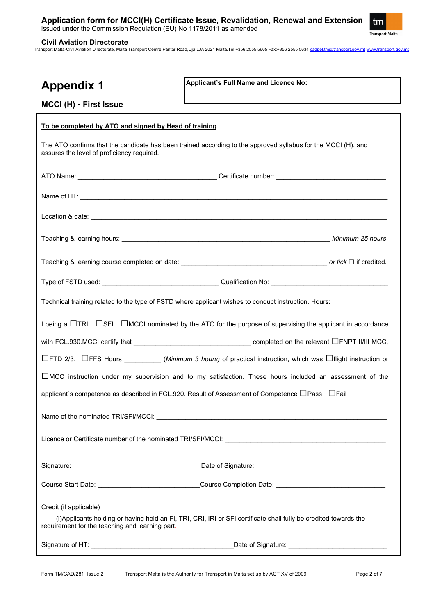

## **Civil Aviation Directorate**

Transport Malta-Civil Aviation Directorate, Malta Transport Centre,Pantar Road,Lija LJA 2021 Malta.Tel:+356 2555 5665 Fax:+356 2555 5634 [cadpel.tm@transport.gov.mt](mailto:cadpel.tm@transport.gov.mt) [www.transport.gov.mt](http://www.transport.gov.mt/)

# **Appendix 1**

**MCCI (H) - First Issue**

**Applicant's Full Name and Licence No:**

| To be completed by ATO and signed by Head of training                                                                                                                                          |  |  |  |  |
|------------------------------------------------------------------------------------------------------------------------------------------------------------------------------------------------|--|--|--|--|
| The ATO confirms that the candidate has been trained according to the approved syllabus for the MCCI (H), and<br>assures the level of proficiency required.                                    |  |  |  |  |
|                                                                                                                                                                                                |  |  |  |  |
|                                                                                                                                                                                                |  |  |  |  |
|                                                                                                                                                                                                |  |  |  |  |
|                                                                                                                                                                                                |  |  |  |  |
|                                                                                                                                                                                                |  |  |  |  |
|                                                                                                                                                                                                |  |  |  |  |
| Technical training related to the type of FSTD where applicant wishes to conduct instruction. Hours:                                                                                           |  |  |  |  |
| I being a $\Box$ TRI $\Box$ SFI $\Box$ MCCI nominated by the ATO for the purpose of supervising the applicant in accordance                                                                    |  |  |  |  |
| with FCL.930.MCCI certify that $\_\_\_\_\_\_\_\_\_\_\_\_\_$                                                                                                                                    |  |  |  |  |
| □FTD 2/3, □FFS Hours _________(Minimum 3 hours) of practical instruction, which was □flight instruction or                                                                                     |  |  |  |  |
| $\Box$ MCC instruction under my supervision and to my satisfaction. These hours included an assessment of the                                                                                  |  |  |  |  |
| applicant's competence as described in FCL.920. Result of Assessment of Competence $\Box$ Pass $\Box$ Fail                                                                                     |  |  |  |  |
|                                                                                                                                                                                                |  |  |  |  |
| Licence or Certificate number of the nominated TRI/SFI/MCCI:                                                                                                                                   |  |  |  |  |
|                                                                                                                                                                                                |  |  |  |  |
| Course Start Date: ______________________________Course Completion Date: ___________________________                                                                                           |  |  |  |  |
| Credit (if applicable)<br>(i) Applicants holding or having held an FI, TRI, CRI, IRI or SFI certificate shall fully be credited towards the<br>requirement for the teaching and learning part. |  |  |  |  |
|                                                                                                                                                                                                |  |  |  |  |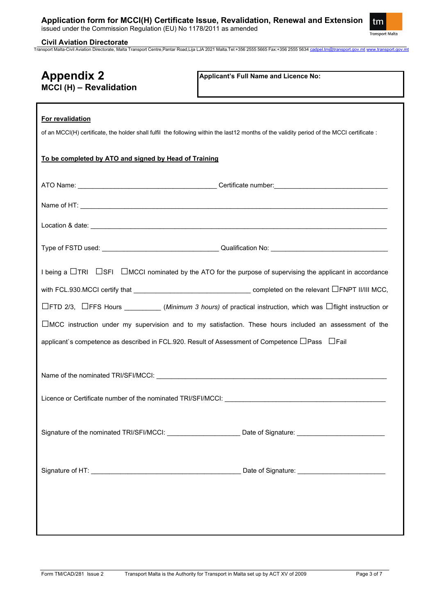

**Civil Aviation Directorate** Transport Malta-Civil Aviation Directorate, Malta Transport Centre,Pantar Road,Lija LJA 2021 Malta.Tel:+356 2555 5665 Fax:+356 2555 5634 [cadpel.tm@transport.gov.mt](mailto:cadpel.tm@transport.gov.mt) [www.transport.gov.mt](http://www.transport.gov.mt/)

| <b>Appendix 2</b><br>MCCI (H) - Revalidation                                                                                | Applicant's Full Name and Licence No:                                                                                                      |  |  |  |
|-----------------------------------------------------------------------------------------------------------------------------|--------------------------------------------------------------------------------------------------------------------------------------------|--|--|--|
| For revalidation                                                                                                            | of an MCCI(H) certificate, the holder shall fulfil the following within the last12 months of the validity period of the MCCI certificate : |  |  |  |
| To be completed by ATO and signed by Head of Training                                                                       |                                                                                                                                            |  |  |  |
|                                                                                                                             |                                                                                                                                            |  |  |  |
|                                                                                                                             |                                                                                                                                            |  |  |  |
|                                                                                                                             |                                                                                                                                            |  |  |  |
|                                                                                                                             |                                                                                                                                            |  |  |  |
| I being a $\Box$ TRI $\Box$ SFI $\Box$ MCCI nominated by the ATO for the purpose of supervising the applicant in accordance |                                                                                                                                            |  |  |  |
|                                                                                                                             |                                                                                                                                            |  |  |  |
|                                                                                                                             | □FTD 2/3, □FFS Hours _________(Minimum 3 hours) of practical instruction, which was □flight instruction or                                 |  |  |  |
|                                                                                                                             | $\Box$ MCC instruction under my supervision and to my satisfaction. These hours included an assessment of the                              |  |  |  |
| applicant`s competence as described in FCL.920. Result of Assessment of Competence □ Pass □ Fail                            |                                                                                                                                            |  |  |  |
|                                                                                                                             | Name of the nominated TRI/SFI/MCCI:<br>                                                                                                    |  |  |  |
|                                                                                                                             |                                                                                                                                            |  |  |  |
|                                                                                                                             | Signature of the nominated TRI/SFI/MCCI: _________________________ Date of Signature: ________________________                             |  |  |  |
|                                                                                                                             |                                                                                                                                            |  |  |  |
|                                                                                                                             |                                                                                                                                            |  |  |  |
|                                                                                                                             |                                                                                                                                            |  |  |  |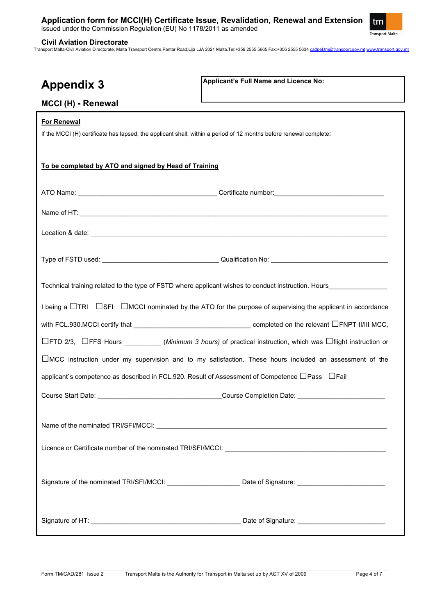

٦

## **Civil Aviation Directorate**

Transport Malta-Civil Aviation Directorate, Malta Transport Centre,Pantar Road,Lija LJA 2021 Malta.Tel:+356 2555 5665 Fax:+356 2555 5634 [cadpel.tm@transport.gov.mt](mailto:cadpel.tm@transport.gov.mt) [www.transport.gov.mt](http://www.transport.gov.mt/)

| <b>Appendix 3</b> |  |
|-------------------|--|
|-------------------|--|

**Applicant's Full Name and Licence No:**

# **MCCI (H) - Renewal**

| <b>For Renewal</b>                                                                                                            |  |  |  |  |
|-------------------------------------------------------------------------------------------------------------------------------|--|--|--|--|
| If the MCCI (H) certificate has lapsed, the applicant shall, within a period of 12 months before renewal complete:            |  |  |  |  |
|                                                                                                                               |  |  |  |  |
| To be completed by ATO and signed by Head of Training                                                                         |  |  |  |  |
|                                                                                                                               |  |  |  |  |
|                                                                                                                               |  |  |  |  |
|                                                                                                                               |  |  |  |  |
|                                                                                                                               |  |  |  |  |
|                                                                                                                               |  |  |  |  |
| Technical training related to the type of FSTD where applicant wishes to conduct instruction. Hours                           |  |  |  |  |
| I being a $\Box$ TRI $\Box$ SFI $\Box$ MCCI nominated by the ATO for the purpose of supervising the applicant in accordance   |  |  |  |  |
|                                                                                                                               |  |  |  |  |
| $\Box$ FTD 2/3, $\Box$ FFS Hours __________(Minimum 3 hours) of practical instruction, which was $\Box$ flight instruction or |  |  |  |  |
| $\Box$ MCC instruction under my supervision and to my satisfaction. These hours included an assessment of the                 |  |  |  |  |
| applicant`s competence as described in FCL.920. Result of Assessment of Competence □ Pass □ Fail                              |  |  |  |  |
|                                                                                                                               |  |  |  |  |
| Name of the nominated TRI/SFI/MCCI: Next and the state of the nominated TRI/SFI/MCCI:                                         |  |  |  |  |
| Licence or Certificate number of the nominated TRI/SFI/MCCI:<br><u> 1980 - John Stein, Amerikaansk politiker (</u>            |  |  |  |  |
|                                                                                                                               |  |  |  |  |
| Signature of the nominated TRI/SFI/MCCI: Date of Signature: Date of Signature:                                                |  |  |  |  |
|                                                                                                                               |  |  |  |  |
|                                                                                                                               |  |  |  |  |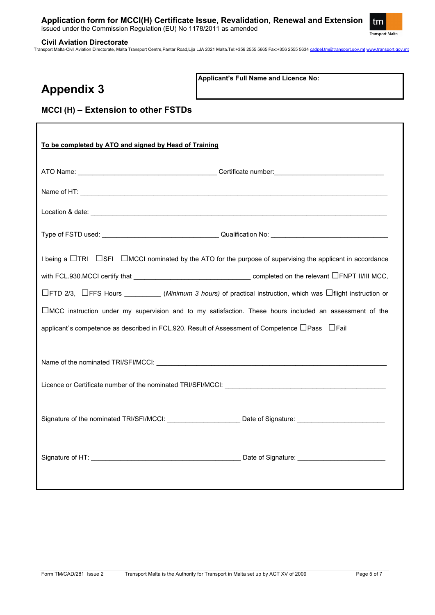

# **Civil Aviation Directorate**

Transport Malta-Civil Aviation Directorate, Malta Transport Centre,Pantar Road,Lija LJA 2021 Malta.Tel:+356 2555 5665 Fax:+356 2555 5634 [cadpel.tm@transport.gov.mt](mailto:cadpel.tm@transport.gov.mt) [www.transport.gov.mt](http://www.transport.gov.mt/)

# **Appendix 3**

**Applicant's Full Name and Licence No:**

**MCCI (H) – Extension to other FSTDs**

| To be completed by ATO and signed by Head of Training                                                                        |  |  |
|------------------------------------------------------------------------------------------------------------------------------|--|--|
|                                                                                                                              |  |  |
|                                                                                                                              |  |  |
|                                                                                                                              |  |  |
|                                                                                                                              |  |  |
| I being a $\Box$ TRI $\Box$ SFI $\Box$ MCCI nominated by the ATO for the purpose of supervising the applicant in accordance  |  |  |
|                                                                                                                              |  |  |
| $\Box$ FTD 2/3, $\Box$ FFS Hours _________(Minimum 3 hours) of practical instruction, which was $\Box$ flight instruction or |  |  |
| $\square$ MCC instruction under my supervision and to my satisfaction. These hours included an assessment of the             |  |  |
| applicant`s competence as described in FCL.920. Result of Assessment of Competence □ Pass □ Fail                             |  |  |
|                                                                                                                              |  |  |
| Name of the nominated TRI/SFI/MCCI: New York Contract the Contract of the nominated TRI/SFI/MCCI:                            |  |  |
|                                                                                                                              |  |  |
| Signature of the nominated TRI/SFI/MCCI: Due to the Date of Signature:                                                       |  |  |
|                                                                                                                              |  |  |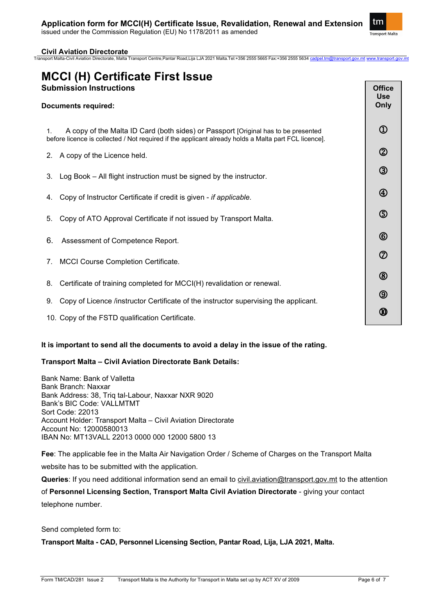

# **Civil Aviation Directorate**

Transport Malta-Civil Aviation Directorate, Malta Transport Centre,Pantar Road,Lija LJA 2021 Malta.Tel:+356 2555 5665 Fax:+356 2555 5634 [cadpel.tm@transport.gov.mt](mailto:cadpel.tm@transport.gov.mt) [www.transport.gov.mt](http://www.transport.gov.mt/)

# **MCCI (H) Certificate First Issue Submission Instructions**

# **Documents required:** 1. A copy of the Malta ID Card (both sides) or Passport [Original has to be presented before licence is collected / Not required if the applicant already holds a Malta part FCL licence]. 2. A copy of the Licence held. 3. Log Book – All flight instruction must be signed by the instructor. 4. Copy of Instructor Certificate if credit is given - *if applicable.* 5. Copy of ATO Approval Certificate if not issued by Transport Malta. 6. Assessment of Competence Report. 7. MCCI Course Completion Certificate. 8. Certificate of training completed for MCCI(H) revalidation or renewal. 9. Copy of Licence /instructor Certificate of the instructor supervising the applicant. 10. Copy of the FSTD qualification Certificate. **Office Use Only**  $\Omega$  $\circled{2}$  $\circled{3}$  $\circledA$  $\circledS$  $\circled6$  $\circled{7}$  $\circledR$  $\circledS$ ⋒

## **It is important to send all the documents to avoid a delay in the issue of the rating.**

# **Transport Malta – Civil Aviation Directorate Bank Details:**

Bank Name: Bank of Valletta Bank Branch: Naxxar Bank Address: 38, Triq tal-Labour, Naxxar NXR 9020 Bank's BIC Code: VALLMTMT Sort Code: 22013 Account Holder: Transport Malta – Civil Aviation Directorate Account No: 12000580013 IBAN No: MT13VALL 22013 0000 000 12000 5800 13

**Fee**: The applicable fee in the Malta Air Navigation Order / Scheme of Charges on the Transport Malta website has to be submitted with the application.

**Queries**: If you need additional information send an email to [civil.aviation@transport.gov.mt](mailto:civil.aviation@transport.gov.mt) to the attention of **Personnel Licensing Section, Transport Malta Civil Aviation Directorate** - giving your contact telephone number.

Send completed form to:

**Transport Malta - CAD, Personnel Licensing Section, Pantar Road, Lija, LJA 2021, Malta.**